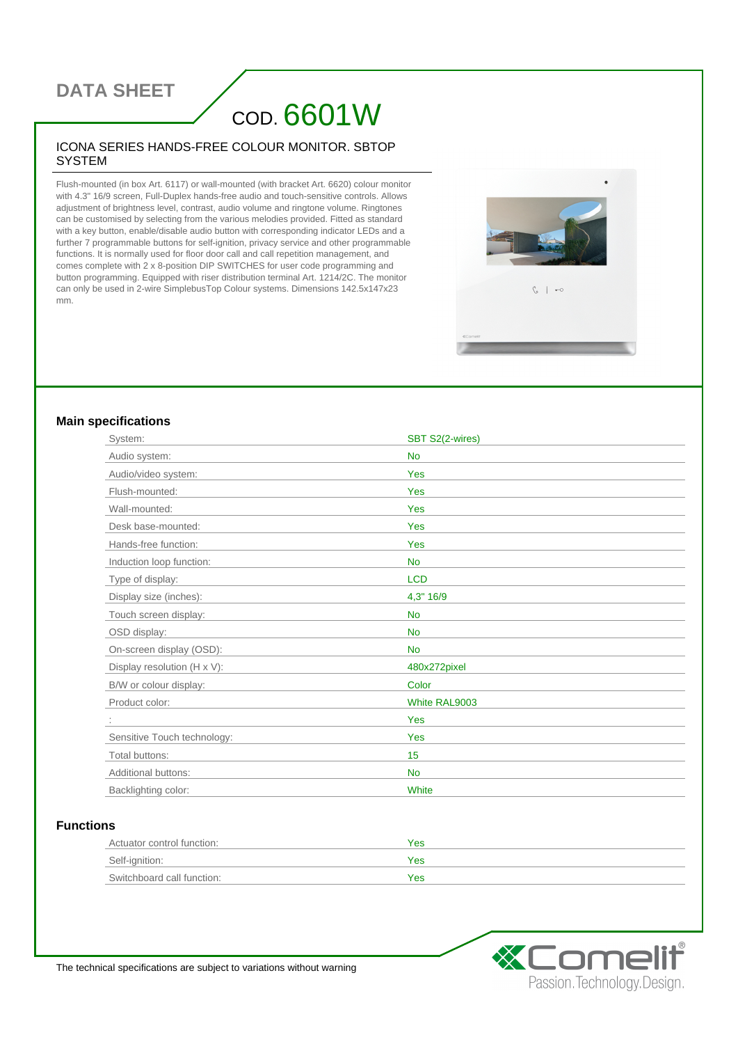### **DATA SHEET**

# COD. 6601W

#### ICONA SERIES HANDS-FREE COLOUR MONITOR. SBTOP **SYSTEM**

Flush-mounted (in box Art. 6117) or wall-mounted (with bracket Art. 6620) colour monitor with 4.3" 16/9 screen, Full-Duplex hands-free audio and touch-sensitive controls. Allows adjustment of brightness level, contrast, audio volume and ringtone volume. Ringtones can be customised by selecting from the various melodies provided. Fitted as standard with a key button, enable/disable audio button with corresponding indicator LEDs and a further 7 programmable buttons for self-ignition, privacy service and other programmable functions. It is normally used for floor door call and call repetition management, and comes complete with 2 x 8-position DIP SWITCHES for user code programming and button programming. Equipped with riser distribution terminal Art. 1214/2C. The monitor can only be used in 2-wire SimplebusTop Colour systems. Dimensions 142.5x147x23 mm.



#### **Main specifications**

| System:                     | SBT S2(2-wires) |
|-----------------------------|-----------------|
| Audio system:               | <b>No</b>       |
| Audio/video system:         | Yes             |
| Flush-mounted:              | Yes             |
| Wall-mounted:               | Yes             |
| Desk base-mounted:          | Yes             |
| Hands-free function:        | Yes             |
| Induction loop function:    | <b>No</b>       |
| Type of display:            | <b>LCD</b>      |
| Display size (inches):      | 4,3" 16/9       |
| Touch screen display:       | <b>No</b>       |
| OSD display:                | <b>No</b>       |
| On-screen display (OSD):    | <b>No</b>       |
| Display resolution (H x V): | 480x272pixel    |
| B/W or colour display:      | Color           |
| Product color:              | White RAL9003   |
|                             | Yes             |
| Sensitive Touch technology: | Yes             |
| Total buttons:              | 15              |
| Additional buttons:         | <b>No</b>       |
| Backlighting color:         | White           |

#### **Functions**

| Actuator control function: | Yes |
|----------------------------|-----|
| Self-ignition:             | Yes |
| Switchboard call function: | Yes |



The technical specifications are subject to variations without warning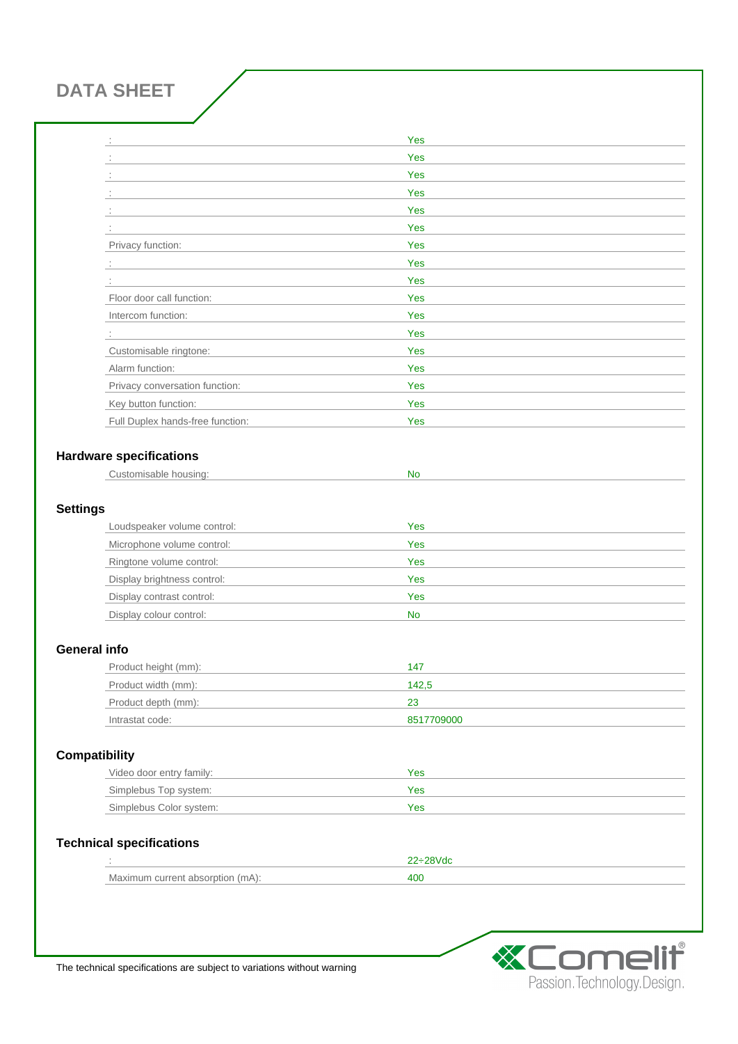## **DATA SHEET**

|                 | ÷                                | Yes        |
|-----------------|----------------------------------|------------|
|                 |                                  | Yes        |
|                 |                                  | Yes        |
|                 |                                  | Yes        |
|                 |                                  | Yes        |
|                 |                                  | Yes        |
|                 | Privacy function:                | Yes        |
|                 | $\mathbb{Z}^{\times}$            | Yes        |
|                 |                                  | Yes        |
|                 | Floor door call function:        | Yes        |
|                 | Intercom function:               | Yes        |
|                 | ÷                                | Yes        |
|                 | Customisable ringtone:           | Yes        |
|                 | Alarm function:                  | Yes        |
|                 | Privacy conversation function:   | Yes        |
|                 | Key button function:             | Yes        |
|                 | Full Duplex hands-free function: | Yes        |
|                 |                                  |            |
|                 | <b>Hardware specifications</b>   |            |
|                 | Customisable housing:            | <b>No</b>  |
|                 |                                  |            |
| <b>Settings</b> |                                  |            |
|                 | Loudspeaker volume control:      | Yes        |
|                 | Microphone volume control:       | Yes        |
|                 | Ringtone volume control:         | Yes        |
|                 | Display brightness control:      | <b>Yes</b> |
|                 | Display contrast control:        | Yes        |
|                 | Display colour control:          | <b>No</b>  |
|                 |                                  |            |
|                 | <b>General info</b>              |            |
|                 | Product height (mm):             | 147        |
|                 | Product width (mm):              | 142,5      |
|                 | Product depth (mm):              | 23         |
|                 | Intrastat code:                  | 8517709000 |
|                 |                                  |            |
|                 | <b>Compatibility</b>             |            |
|                 | Video door entry family:         | Yes        |
|                 | Simplebus Top system:            | Yes        |
|                 | Simplebus Color system:          | Yes        |
|                 |                                  |            |
|                 | <b>Technical specifications</b>  |            |
|                 |                                  | 22÷28Vdc   |
|                 | Maximum current absorption (mA): | 400        |



The technical specifications are subject to variations without warning